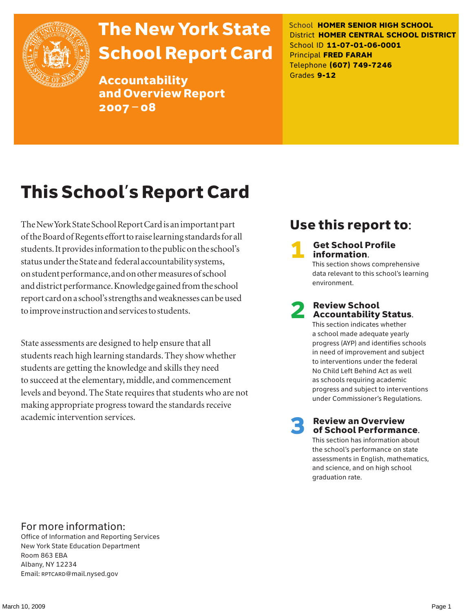

# The New York State School Report Card

Accountability and Overview Report 2007–08

School **HOMER SENIOR HIGH SCHOOL** District **HOMER CENTRAL SCHOOL DISTRICT** School ID **11-07-01-06-0001** Principal **FRED FARAH** Telephone **(607) 749-7246** Grades **9-12**

# This School's Report Card

The New York State School Report Card is an important part of the Board of Regents effort to raise learning standards for all students. It provides information to the public on the school's status under the State and federal accountability systems, on student performance, and on other measures of school and district performance. Knowledge gained from the school report card on a school's strengths and weaknesses can be used to improve instruction and services to students.

State assessments are designed to help ensure that all students reach high learning standards. They show whether students are getting the knowledge and skills they need to succeed at the elementary, middle, and commencement levels and beyond. The State requires that students who are not making appropriate progress toward the standards receive academic intervention services.

### Use this report to:

**Get School Profile** information.

This section shows comprehensive data relevant to this school's learning environment.

# 2 Review School Accountability Status.

This section indicates whether a school made adequate yearly progress (AYP) and identifies schools in need of improvement and subject to interventions under the federal No Child Left Behind Act as well as schools requiring academic progress and subject to interventions under Commissioner's Regulations.

**Review an Overview** of School Performance.

This section has information about the school's performance on state assessments in English, mathematics, and science, and on high school graduation rate.

### For more information:

Office of Information and Reporting Services New York State Education Department Room 863 EBA Albany, NY 12234 Email: RPTCARD@mail.nysed.gov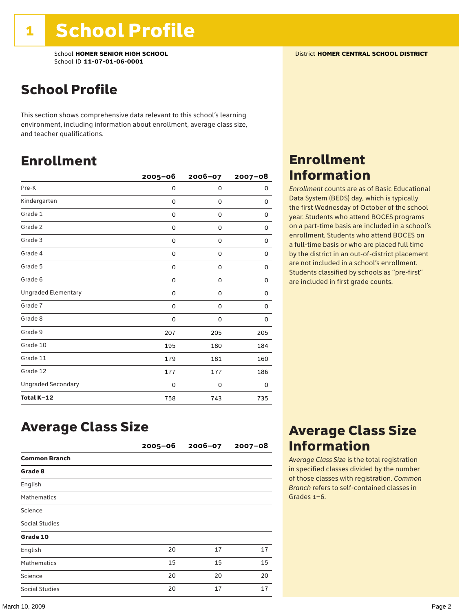School **HOMER SENIOR HIGH SCHOOL** District **HOMER CENTRAL SCHOOL DISTRICT** School ID **11-07-01-06-0001**

### School Profile

This section shows comprehensive data relevant to this school's learning environment, including information about enrollment, average class size, and teacher qualifications.

### Enrollment

|                            | $2005 - 06$ | 2006-07     | $2007 - 08$ |
|----------------------------|-------------|-------------|-------------|
| Pre-K                      | 0           | $\mathbf 0$ | 0           |
| Kindergarten               | 0           | 0           | 0           |
| Grade 1                    | 0           | 0           | 0           |
| Grade 2                    | 0           | 0           | 0           |
| Grade 3                    | 0           | 0           | 0           |
| Grade 4                    | 0           | 0           | 0           |
| Grade 5                    | 0           | 0           | 0           |
| Grade 6                    | 0           | 0           | 0           |
| <b>Ungraded Elementary</b> | 0           | $\mathbf 0$ | 0           |
| Grade 7                    | 0           | 0           | 0           |
| Grade 8                    | 0           | 0           | 0           |
| Grade 9                    | 207         | 205         | 205         |
| Grade 10                   | 195         | 180         | 184         |
| Grade 11                   | 179         | 181         | 160         |
| Grade 12                   | 177         | 177         | 186         |
| <b>Ungraded Secondary</b>  | 0           | 0           | 0           |
| Total K-12                 | 758         | 743         | 735         |

### Enrollment Information

*Enrollment* counts are as of Basic Educational Data System (BEDS) day, which is typically the first Wednesday of October of the school year. Students who attend BOCES programs on a part-time basis are included in a school's enrollment. Students who attend BOCES on a full-time basis or who are placed full time by the district in an out-of-district placement are not included in a school's enrollment. Students classified by schools as "pre-first" are included in first grade counts.

### Average Class Size

|                       | $2005 - 06$ | $2006 - 07$ | $2007 - 08$ |
|-----------------------|-------------|-------------|-------------|
| <b>Common Branch</b>  |             |             |             |
| Grade 8               |             |             |             |
| English               |             |             |             |
| <b>Mathematics</b>    |             |             |             |
| Science               |             |             |             |
| <b>Social Studies</b> |             |             |             |
| Grade 10              |             |             |             |
| English               | 20          | 17          | 17          |
| <b>Mathematics</b>    | 15          | 15          | 15          |
| Science               | 20          | 20          | 20          |
| Social Studies        | 20          | 17          | 17          |

### Average Class Size Information

*Average Class Size* is the total registration in specified classes divided by the number of those classes with registration. *Common Branch* refers to self-contained classes in Grades 1–6.

#### March 10, 2009 Page 2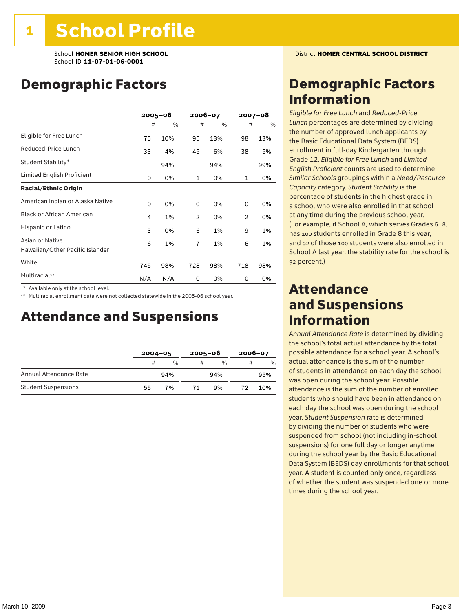School **HOMER SENIOR HIGH SCHOOL** District **HOMER CENTRAL SCHOOL DISTRICT** School ID **11-07-01-06-0001**

### Demographic Factors

|                                                    |     | $2005 - 06$ | 2006-07 |     | $2007 - 08$ |     |
|----------------------------------------------------|-----|-------------|---------|-----|-------------|-----|
|                                                    | #   | %           | #       | %   | #           | %   |
| Eligible for Free Lunch                            | 75  | 10%         | 95      | 13% | 98          | 13% |
| Reduced-Price Lunch                                | 33  | 4%          | 45      | 6%  | 38          | 5%  |
| Student Stability*                                 |     | 94%         |         | 94% |             | 99% |
| Limited English Proficient                         | 0   | 0%          | 1       | 0%  | 1           | 0%  |
| <b>Racial/Ethnic Origin</b>                        |     |             |         |     |             |     |
| American Indian or Alaska Native                   | 0   | 0%          | 0       | 0%  | 0           | 0%  |
| <b>Black or African American</b>                   | 4   | 1%          | 2       | 0%  | 2           | 0%  |
| Hispanic or Latino                                 | 3   | 0%          | 6       | 1%  | 9           | 1%  |
| Asian or Native<br>Hawaiian/Other Pacific Islander | 6   | 1%          | 7       | 1%  | 6           | 1%  |
| White                                              | 745 | 98%         | 728     | 98% | 718         | 98% |
| Multiracial**                                      | N/A | N/A         | 0       | 0%  | 0           | 0%  |

\* Available only at the school level.

\*\* Multiracial enrollment data were not collected statewide in the 2005-06 school year.

### Attendance and Suspensions

|                            |    | $2004 - 05$   |   | $2005 - 06$   |   | 2006-07       |  |
|----------------------------|----|---------------|---|---------------|---|---------------|--|
|                            | #  | $\frac{0}{0}$ | # | $\frac{0}{6}$ | # | $\frac{0}{0}$ |  |
| Annual Attendance Rate     |    | 94%           |   | 94%           |   | 95%           |  |
| <b>Student Suspensions</b> | 55 | 7%            |   | 9%            |   | 10%           |  |

### Demographic Factors Information

*Eligible for Free Lunch* and *Reduced*-*Price Lunch* percentages are determined by dividing the number of approved lunch applicants by the Basic Educational Data System (BEDS) enrollment in full-day Kindergarten through Grade 12. *Eligible for Free Lunch* and *Limited English Proficient* counts are used to determine *Similar Schools* groupings within a *Need*/*Resource Capacity* category. *Student Stability* is the percentage of students in the highest grade in a school who were also enrolled in that school at any time during the previous school year. (For example, if School A, which serves Grades 6–8, has 100 students enrolled in Grade 8 this year, and 92 of those 100 students were also enrolled in School A last year, the stability rate for the school is 92 percent.)

### Attendance and Suspensions Information

*Annual Attendance Rate* is determined by dividing the school's total actual attendance by the total possible attendance for a school year. A school's actual attendance is the sum of the number of students in attendance on each day the school was open during the school year. Possible attendance is the sum of the number of enrolled students who should have been in attendance on each day the school was open during the school year. *Student Suspension* rate is determined by dividing the number of students who were suspended from school (not including in-school suspensions) for one full day or longer anytime during the school year by the Basic Educational Data System (BEDS) day enrollments for that school year. A student is counted only once, regardless of whether the student was suspended one or more times during the school year.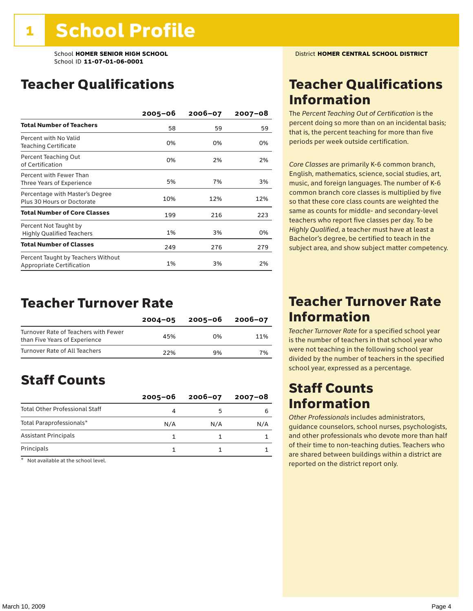### Teacher Qualifications

|                                                                 | $2005 - 06$ | $2006 - 07$ | 2007-08 |
|-----------------------------------------------------------------|-------------|-------------|---------|
| <b>Total Number of Teachers</b>                                 | 58          | 59          | 59      |
| Percent with No Valid<br><b>Teaching Certificate</b>            | 0%          | 0%          | 0%      |
| Percent Teaching Out<br>of Certification                        | 0%          | 2%          | 2%      |
| Percent with Fewer Than<br>Three Years of Experience            | 5%          | 7%          | 3%      |
| Percentage with Master's Degree<br>Plus 30 Hours or Doctorate   | 10%         | 12%         | 12%     |
| <b>Total Number of Core Classes</b>                             | 199         | 216         | 223     |
| Percent Not Taught by<br><b>Highly Qualified Teachers</b>       | 1%          | 3%          | 0%      |
| <b>Total Number of Classes</b>                                  | 249         | 276         | 279     |
| Percent Taught by Teachers Without<br>Appropriate Certification | 1%          | 3%          | 2%      |

### Teacher Turnover Rate

|                                                                       | $2004 - 05$ | 2005-06 | 2006-07 |
|-----------------------------------------------------------------------|-------------|---------|---------|
| Turnover Rate of Teachers with Fewer<br>than Five Years of Experience | 45%         | በ%      | 11%     |
| Turnover Rate of All Teachers                                         | 22%         | 9%      | 7%      |

### Staff Counts

|                                       | $2005 - 06$ | $2006 - 07$ | 2007-08 |
|---------------------------------------|-------------|-------------|---------|
| <b>Total Other Professional Staff</b> |             |             |         |
| Total Paraprofessionals*              | N/A         | N/A         | N/A     |
| <b>Assistant Principals</b>           |             |             |         |
| Principals                            |             |             |         |

\* Not available at the school level.

### Teacher Qualifications Information

The *Percent Teaching Out of Certification* is the percent doing so more than on an incidental basis; that is, the percent teaching for more than five periods per week outside certification.

*Core Classes* are primarily K-6 common branch, English, mathematics, science, social studies, art, music, and foreign languages. The number of K-6 common branch core classes is multiplied by five so that these core class counts are weighted the same as counts for middle- and secondary-level teachers who report five classes per day. To be *Highly Qualified*, a teacher must have at least a Bachelor's degree, be certified to teach in the subject area, and show subject matter competency.

### Teacher Turnover Rate Information

*Teacher Turnover Rate* for a specified school year is the number of teachers in that school year who were not teaching in the following school year divided by the number of teachers in the specified school year, expressed as a percentage.

### Staff Counts Information

*Other Professionals* includes administrators, guidance counselors, school nurses, psychologists, and other professionals who devote more than half of their time to non-teaching duties. Teachers who are shared between buildings within a district are reported on the district report only.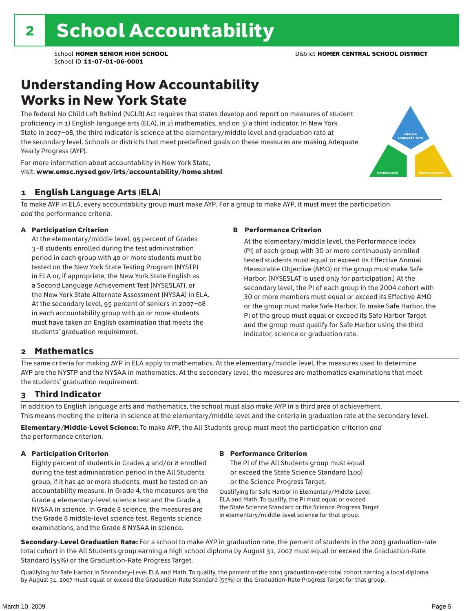### Understanding How Accountability Works in New York State

The federal No Child Left Behind (NCLB) Act requires that states develop and report on measures of student proficiency in 1) English language arts (ELA), in 2) mathematics, and on 3) a third indicator. In New York State in 2007–08, the third indicator is science at the elementary/middle level and graduation rate at the secondary level. Schools or districts that meet predefined goals on these measures are making Adequate Yearly Progress (AYP).



For more information about accountability in New York State, visit: www.emsc.nysed.gov/irts/accountability/home.shtml

#### 1 English Language Arts (ELA)

To make AYP in ELA, every accountability group must make AYP. For a group to make AYP, it must meet the participation *and* the performance criteria.

#### A Participation Criterion

At the elementary/middle level, 95 percent of Grades 3–8 students enrolled during the test administration period in each group with 40 or more students must be tested on the New York State Testing Program (NYSTP) in ELA or, if appropriate, the New York State English as a Second Language Achievement Test (NYSESLAT), or the New York State Alternate Assessment (NYSAA) in ELA. At the secondary level, 95 percent of seniors in 2007–08 in each accountability group with 40 or more students must have taken an English examination that meets the students' graduation requirement.

#### B Performance Criterion

At the elementary/middle level, the Performance Index (PI) of each group with 30 or more continuously enrolled tested students must equal or exceed its Effective Annual Measurable Objective (AMO) or the group must make Safe Harbor. (NYSESLAT is used only for participation.) At the secondary level, the PI of each group in the 2004 cohort with 30 or more members must equal or exceed its Effective AMO or the group must make Safe Harbor. To make Safe Harbor, the PI of the group must equal or exceed its Safe Harbor Target and the group must qualify for Safe Harbor using the third indicator, science or graduation rate.

#### 2 Mathematics

The same criteria for making AYP in ELA apply to mathematics. At the elementary/middle level, the measures used to determine AYP are the NYSTP and the NYSAA in mathematics. At the secondary level, the measures are mathematics examinations that meet the students' graduation requirement.

#### 3 Third Indicator

In addition to English language arts and mathematics, the school must also make AYP in a third area of achievement. This means meeting the criteria in science at the elementary/middle level and the criteria in graduation rate at the secondary level.

Elementary/Middle-Level Science: To make AYP, the All Students group must meet the participation criterion *and* the performance criterion.

#### A Participation Criterion

Eighty percent of students in Grades 4 and/or 8 enrolled during the test administration period in the All Students group, if it has 40 or more students, must be tested on an accountability measure. In Grade 4, the measures are the Grade 4 elementary-level science test and the Grade 4 NYSAA in science. In Grade 8 science, the measures are the Grade 8 middle-level science test, Regents science examinations, and the Grade 8 NYSAA in science.

#### B Performance Criterion

The PI of the All Students group must equal or exceed the State Science Standard (100) or the Science Progress Target.

Qualifying for Safe Harbor in Elementary/Middle-Level ELA and Math: To qualify, the PI must equal or exceed the State Science Standard or the Science Progress Target in elementary/middle-level science for that group.

Secondary-Level Graduation Rate: For a school to make AYP in graduation rate, the percent of students in the 2003 graduation-rate total cohort in the All Students group earning a high school diploma by August 31, 2007 must equal or exceed the Graduation-Rate Standard (55%) or the Graduation-Rate Progress Target.

Qualifying for Safe Harbor in Secondary-Level ELA and Math: To qualify, the percent of the 2003 graduation-rate total cohort earning a local diploma by August 31, 2007 must equal or exceed the Graduation-Rate Standard (55%) or the Graduation-Rate Progress Target for that group.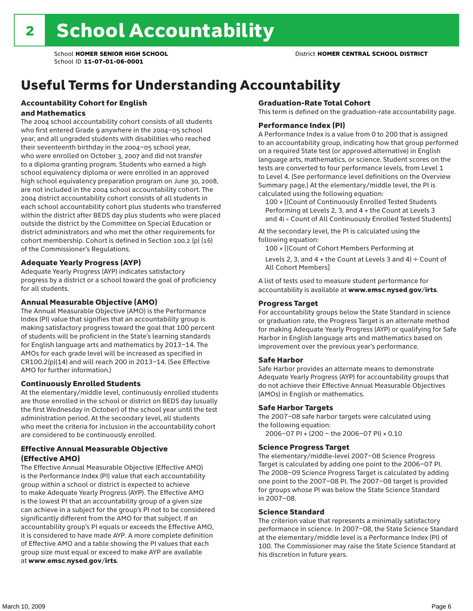## Useful Terms for Understanding Accountability

#### Accountability Cohort for English and Mathematics

The 2004 school accountability cohort consists of all students who first entered Grade 9 anywhere in the 2004–05 school year, and all ungraded students with disabilities who reached their seventeenth birthday in the 2004–05 school year, who were enrolled on October 3, 2007 and did not transfer to a diploma granting program. Students who earned a high school equivalency diploma or were enrolled in an approved high school equivalency preparation program on June 30, 2008, are not included in the 2004 school accountability cohort. The 2004 district accountability cohort consists of all students in each school accountability cohort plus students who transferred within the district after BEDS day plus students who were placed outside the district by the Committee on Special Education or district administrators and who met the other requirements for cohort membership. Cohort is defined in Section 100.2 (p) (16) of the Commissioner's Regulations.

#### Adequate Yearly Progress (AYP)

Adequate Yearly Progress (AYP) indicates satisfactory progress by a district or a school toward the goal of proficiency for all students.

#### Annual Measurable Objective (AMO)

The Annual Measurable Objective (AMO) is the Performance Index (PI) value that signifies that an accountability group is making satisfactory progress toward the goal that 100 percent of students will be proficient in the State's learning standards for English language arts and mathematics by 2013–14. The AMOs for each grade level will be increased as specified in CR100.2(p)(14) and will reach 200 in 2013–14. (See Effective AMO for further information.)

#### Continuously Enrolled Students

At the elementary/middle level, continuously enrolled students are those enrolled in the school or district on BEDS day (usually the first Wednesday in October) of the school year until the test administration period. At the secondary level, all students who meet the criteria for inclusion in the accountability cohort are considered to be continuously enrolled.

#### Effective Annual Measurable Objective (Effective AMO)

The Effective Annual Measurable Objective (Effective AMO) is the Performance Index (PI) value that each accountability group within a school or district is expected to achieve to make Adequate Yearly Progress (AYP). The Effective AMO is the lowest PI that an accountability group of a given size can achieve in a subject for the group's PI not to be considered significantly different from the AMO for that subject. If an accountability group's PI equals or exceeds the Effective AMO, it is considered to have made AYP. A more complete definition of Effective AMO and a table showing the PI values that each group size must equal or exceed to make AYP are available at www.emsc.nysed.gov/irts.

#### Graduation-Rate Total Cohort

This term is defined on the graduation-rate accountability page.

#### Performance Index (PI)

A Performance Index is a value from 0 to 200 that is assigned to an accountability group, indicating how that group performed on a required State test (or approved alternative) in English language arts, mathematics, or science. Student scores on the tests are converted to four performance levels, from Level 1 to Level 4. (See performance level definitions on the Overview Summary page.) At the elementary/middle level, the PI is calculated using the following equation:

100 × [(Count of Continuously Enrolled Tested Students Performing at Levels 2, 3, and 4 + the Count at Levels 3 and 4) ÷ Count of All Continuously Enrolled Tested Students]

At the secondary level, the PI is calculated using the following equation:

100 × [(Count of Cohort Members Performing at

Levels 2, 3, and 4 + the Count at Levels 3 and 4)  $\div$  Count of All Cohort Members]

A list of tests used to measure student performance for accountability is available at www.emsc.nysed.gov/irts.

#### Progress Target

For accountability groups below the State Standard in science or graduation rate, the Progress Target is an alternate method for making Adequate Yearly Progress (AYP) or qualifying for Safe Harbor in English language arts and mathematics based on improvement over the previous year's performance.

#### Safe Harbor

Safe Harbor provides an alternate means to demonstrate Adequate Yearly Progress (AYP) for accountability groups that do not achieve their Effective Annual Measurable Objectives (AMOs) in English or mathematics.

#### Safe Harbor Targets

The 2007–08 safe harbor targets were calculated using the following equation:

2006–07 PI + (200 – the 2006–07 PI) × 0.10

#### Science Progress Target

The elementary/middle-level 2007–08 Science Progress Target is calculated by adding one point to the 2006–07 PI. The 2008–09 Science Progress Target is calculated by adding one point to the 2007–08 PI. The 2007–08 target is provided for groups whose PI was below the State Science Standard in 2007–08.

#### Science Standard

The criterion value that represents a minimally satisfactory performance in science. In 2007–08, the State Science Standard at the elementary/middle level is a Performance Index (PI) of 100. The Commissioner may raise the State Science Standard at his discretion in future years.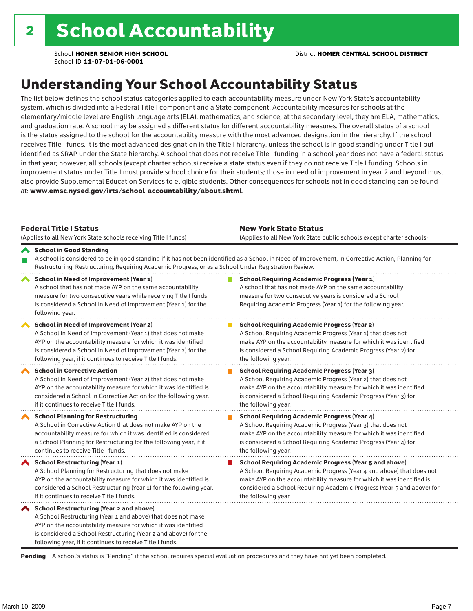### Understanding Your School Accountability Status

The list below defines the school status categories applied to each accountability measure under New York State's accountability system, which is divided into a Federal Title I component and a State component. Accountability measures for schools at the elementary/middle level are English language arts (ELA), mathematics, and science; at the secondary level, they are ELA, mathematics, and graduation rate. A school may be assigned a different status for different accountability measures. The overall status of a school is the status assigned to the school for the accountability measure with the most advanced designation in the hierarchy. If the school receives Title I funds, it is the most advanced designation in the Title I hierarchy, unless the school is in good standing under Title I but identified as SRAP under the State hierarchy. A school that does not receive Title I funding in a school year does not have a federal status in that year; however, all schools (except charter schools) receive a state status even if they do not receive Title I funding. Schools in improvement status under Title I must provide school choice for their students; those in need of improvement in year 2 and beyond must also provide Supplemental Education Services to eligible students. Other consequences for schools not in good standing can be found at: www.emsc.nysed.gov/irts/school-accountability/about.shtml.

| <b>Federal Title I Status</b><br>(Applies to all New York State schools receiving Title I funds)                                                                                                                                                                                                             | <b>New York State Status</b><br>(Applies to all New York State public schools except charter schools) |                                                                                                                                                                                                                                                                                                                 |  |  |  |
|--------------------------------------------------------------------------------------------------------------------------------------------------------------------------------------------------------------------------------------------------------------------------------------------------------------|-------------------------------------------------------------------------------------------------------|-----------------------------------------------------------------------------------------------------------------------------------------------------------------------------------------------------------------------------------------------------------------------------------------------------------------|--|--|--|
| School in Good Standing<br>Restructuring, Restructuring, Requiring Academic Progress, or as a School Under Registration Review.                                                                                                                                                                              |                                                                                                       | A school is considered to be in good standing if it has not been identified as a School in Need of Improvement, in Corrective Action, Planning for                                                                                                                                                              |  |  |  |
| School in Need of Improvement (Year 1)<br>A school that has not made AYP on the same accountability<br>measure for two consecutive years while receiving Title I funds<br>is considered a School in Need of Improvement (Year 1) for the<br>following year.                                                  |                                                                                                       | <b>School Requiring Academic Progress (Year 1)</b><br>A school that has not made AYP on the same accountability<br>measure for two consecutive years is considered a School<br>Requiring Academic Progress (Year 1) for the following year.                                                                     |  |  |  |
| <b>School in Need of Improvement (Year 2)</b><br>A School in Need of Improvement (Year 1) that does not make<br>AYP on the accountability measure for which it was identified<br>is considered a School in Need of Improvement (Year 2) for the<br>following year, if it continues to receive Title I funds. |                                                                                                       | <b>School Requiring Academic Progress (Year 2)</b><br>A School Requiring Academic Progress (Year 1) that does not<br>make AYP on the accountability measure for which it was identified<br>is considered a School Requiring Academic Progress (Year 2) for<br>the following year.                               |  |  |  |
| <b>School in Corrective Action</b><br>A School in Need of Improvement (Year 2) that does not make<br>AYP on the accountability measure for which it was identified is<br>considered a School in Corrective Action for the following year,<br>if it continues to receive Title I funds.                       |                                                                                                       | <b>School Requiring Academic Progress (Year 3)</b><br>A School Requiring Academic Progress (Year 2) that does not<br>make AYP on the accountability measure for which it was identified<br>is considered a School Requiring Academic Progress (Year 3) for<br>the following year.                               |  |  |  |
| <b>School Planning for Restructuring</b><br>A School in Corrective Action that does not make AYP on the<br>accountability measure for which it was identified is considered<br>a School Planning for Restructuring for the following year, if it<br>continues to receive Title I funds.                      |                                                                                                       | <b>School Requiring Academic Progress (Year 4)</b><br>A School Requiring Academic Progress (Year 3) that does not<br>make AYP on the accountability measure for which it was identified<br>is considered a School Requiring Academic Progress (Year 4) for<br>the following year.                               |  |  |  |
| School Restructuring (Year 1)<br>A School Planning for Restructuring that does not make<br>AYP on the accountability measure for which it was identified is<br>considered a School Restructuring (Year 1) for the following year,<br>if it continues to receive Title I funds.                               |                                                                                                       | <b>School Requiring Academic Progress (Year 5 and above)</b><br>A School Requiring Academic Progress (Year 4 and above) that does not<br>make AYP on the accountability measure for which it was identified is<br>considered a School Requiring Academic Progress (Year 5 and above) for<br>the following year. |  |  |  |
| School Restructuring (Year 2 and above)<br>A School Restructuring (Year 1 and above) that does not make<br>AYP on the accountability measure for which it was identified<br>is considered a School Restructuring (Year 2 and above) for the<br>following year, if it continues to receive Title I funds.     |                                                                                                       |                                                                                                                                                                                                                                                                                                                 |  |  |  |

Pending - A school's status is "Pending" if the school requires special evaluation procedures and they have not yet been completed.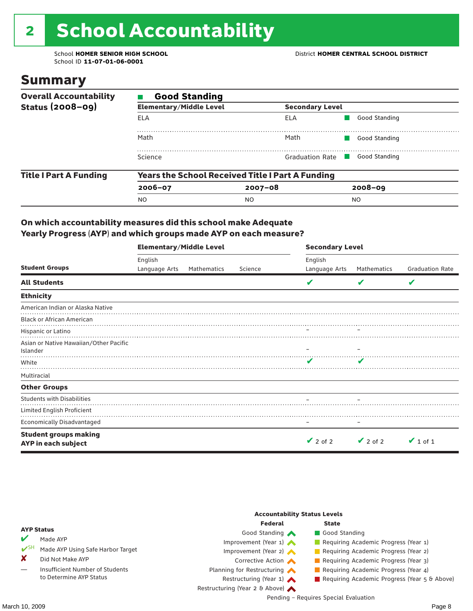# 2 School Accountability

School ID **11-07-01-06-0001**

### Summary

| <b>Overall Accountability</b> | <b>Good Standing</b>           |                                                         |                |  |  |  |  |
|-------------------------------|--------------------------------|---------------------------------------------------------|----------------|--|--|--|--|
| <b>Status (2008-09)</b>       | <b>Elementary/Middle Level</b> | <b>Secondary Level</b>                                  |                |  |  |  |  |
|                               | ELA                            | ELA                                                     | Good Standing  |  |  |  |  |
|                               | Math                           | Math                                                    | Good Standing  |  |  |  |  |
|                               | Science                        | Graduation Rate                                         | Good Standing  |  |  |  |  |
| <b>Title I Part A Funding</b> |                                | <b>Years the School Received Title I Part A Funding</b> |                |  |  |  |  |
|                               | $2006 - 07$                    | $2007 - 08$                                             | $2008 - 09$    |  |  |  |  |
|                               | <b>NO</b>                      | NO.                                                     | N <sub>O</sub> |  |  |  |  |

#### On which accountability measures did this school make Adequate Yearly Progress (AYP) and which groups made AYP on each measure?

|                                                     | <b>Elementary/Middle Level</b> |             |         | <b>Secondary Level</b> |               |                        |  |  |
|-----------------------------------------------------|--------------------------------|-------------|---------|------------------------|---------------|------------------------|--|--|
|                                                     | English                        |             |         | English                |               |                        |  |  |
| <b>Student Groups</b>                               | Language Arts                  | Mathematics | Science | Language Arts          | Mathematics   | <b>Graduation Rate</b> |  |  |
| <b>All Students</b>                                 |                                |             |         | v                      |               | V                      |  |  |
| <b>Ethnicity</b>                                    |                                |             |         |                        |               |                        |  |  |
| American Indian or Alaska Native                    |                                |             |         |                        |               |                        |  |  |
| <b>Black or African American</b>                    |                                |             |         |                        |               |                        |  |  |
| Hispanic or Latino                                  |                                |             |         |                        |               |                        |  |  |
| Asian or Native Hawaiian/Other Pacific<br>Islander  |                                |             |         |                        |               |                        |  |  |
| White                                               |                                |             |         | v                      |               |                        |  |  |
| Multiracial                                         |                                |             |         |                        |               |                        |  |  |
| <b>Other Groups</b>                                 |                                |             |         |                        |               |                        |  |  |
| <b>Students with Disabilities</b>                   |                                |             |         |                        |               |                        |  |  |
| Limited English Proficient                          |                                |             |         |                        |               |                        |  |  |
| <b>Economically Disadvantaged</b>                   |                                |             |         |                        |               |                        |  |  |
| <b>Student groups making</b><br>AYP in each subject |                                |             |         | $\vee$ 2 of 2          | $\vee$ 2 of 2 | $\vee$ 1 of 1          |  |  |

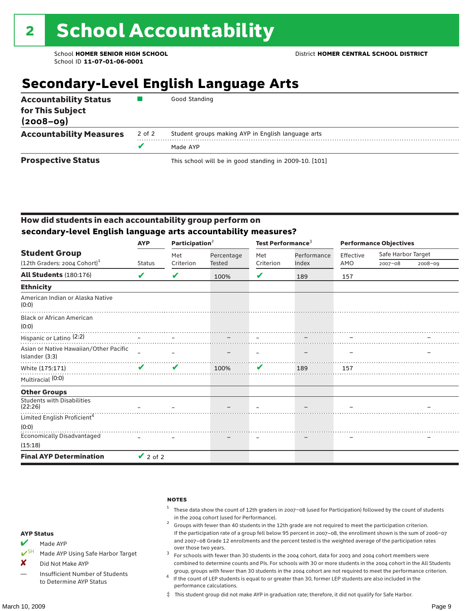### **Secondary-Level English Language Arts**

| <b>Accountability Status</b><br>for This Subject<br>$(2008 - 09)$ |        | Good Standing                                          |
|-------------------------------------------------------------------|--------|--------------------------------------------------------|
| <b>Accountability Measures</b>                                    | 2 of 2 | Student groups making AYP in English language arts     |
|                                                                   |        | Made AYP                                               |
| <b>Prospective Status</b>                                         |        | This school will be in good standing in 2009-10. [101] |

#### How did students in each accountability group perform on **secondary-level English language arts accountability measures?**

|                                                          | <b>AYP</b>                 | Participation $2$ |            | Test Performance <sup>3</sup> |             | <b>Performance Objectives</b> |                    |             |
|----------------------------------------------------------|----------------------------|-------------------|------------|-------------------------------|-------------|-------------------------------|--------------------|-------------|
| <b>Student Group</b>                                     |                            | Met               | Percentage | Met                           | Performance | Effective                     | Safe Harbor Target |             |
| $(12th$ Graders: 2004 Cohort) <sup>1</sup>               | <b>Status</b>              | Criterion         | Tested     | Criterion                     | Index       | AMO                           | $2007 - 08$        | $2008 - 09$ |
| <b>All Students (180:176)</b>                            | V                          | V                 | 100%       | V                             | 189         | 157                           |                    |             |
| <b>Ethnicity</b>                                         |                            |                   |            |                               |             |                               |                    |             |
| American Indian or Alaska Native<br>(0:0)                |                            |                   |            |                               |             |                               |                    |             |
| <b>Black or African American</b><br>(0:0)                |                            |                   |            |                               |             |                               |                    |             |
| Hispanic or Latino <sup>(2:2)</sup>                      |                            |                   |            |                               |             |                               |                    |             |
| Asian or Native Hawaiian/Other Pacific<br>Islander (3:3) |                            |                   |            |                               |             |                               |                    |             |
| White (175:171)                                          | $\boldsymbol{\mathcal{U}}$ | ✔                 | 100%       | $\mathbf{v}$                  | 189         | 157                           |                    |             |
| Multiracial (0:0)                                        |                            |                   |            |                               |             |                               |                    |             |
| <b>Other Groups</b>                                      |                            |                   |            |                               |             |                               |                    |             |
| <b>Students with Disabilities</b><br>(22:26)             |                            |                   |            |                               |             |                               |                    |             |
| Limited English Proficient <sup>4</sup>                  |                            |                   |            |                               |             |                               |                    |             |
| (0:0)                                                    |                            |                   |            |                               |             |                               |                    |             |
| <b>Economically Disadvantaged</b>                        |                            |                   |            |                               |             |                               |                    |             |
| (15:18)                                                  |                            |                   |            |                               |             |                               |                    |             |
| <b>Final AYP Determination</b>                           | $\vee$ 2 of 2              |                   |            |                               |             |                               |                    |             |

#### notes

- <sup>1</sup> These data show the count of 12th graders in 2007–08 (used for Participation) followed by the count of students
- in the 2004 cohort (used for Performance).<br><sup>2</sup> Groups with fewer than 40 students in the 12th grade are not required to meet the participation criterion. If the participation rate of a group fell below 95 percent in 2007–08, the enrollment shown is the sum of 2006–07 and 2007–08 Grade 12 enrollments and the percent tested is the weighted average of the participation rates
- over those two years.  $^3$  For schools with fewer than 30 students in the 2004 cohort, data for 2003 and 2004 cohort members were combined to determine counts and PIs. For schools with 30 or more students in the 2004 cohort in the All Students
- group, groups with fewer than 30 students in the 2004 cohort are not required to meet the performance criterion. <sup>4</sup> If the count of LEP students is equal to or greater than 30, former LEP students are also included in the performance calculations.
- ‡ This student group did not make AYP in graduation rate; therefore, it did not qualify for Safe Harbor.
- Made AYP
- <del></del> I<sup>SH</sup> Made AYP Using Safe Harbor Target
- X Did Not Make AYP
- Insufficient Number of Students to Determine AYP Status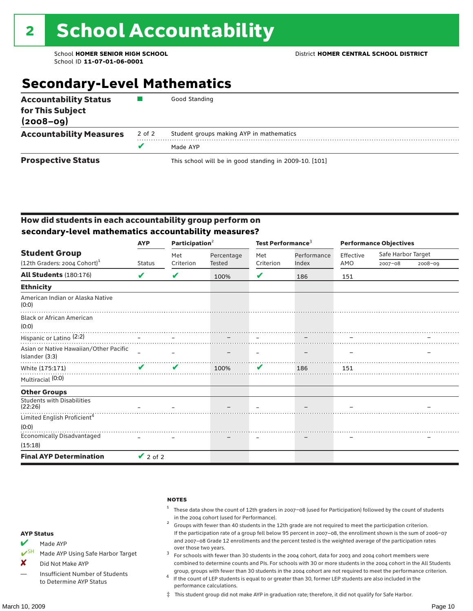### **Secondary-Level Mathematics**

| <b>Accountability Status</b><br>for This Subject<br>$(2008 - 09)$ |        | Good Standing                                          |
|-------------------------------------------------------------------|--------|--------------------------------------------------------|
| <b>Accountability Measures</b>                                    | 2 of 2 | Student groups making AYP in mathematics               |
|                                                                   |        | Made AYP                                               |
| <b>Prospective Status</b>                                         |        | This school will be in good standing in 2009-10. [101] |

#### How did students in each accountability group perform on **secondary-level mathematics accountability measures?**

|                                                               | <b>AYP</b>    | Participation $2$ |            | Test Performance <sup>3</sup> |             | <b>Performance Objectives</b> |                    |             |  |
|---------------------------------------------------------------|---------------|-------------------|------------|-------------------------------|-------------|-------------------------------|--------------------|-------------|--|
| <b>Student Group</b>                                          |               | Met               | Percentage | Met                           | Performance | Effective                     | Safe Harbor Target |             |  |
| (12th Graders: 2004 Cohort) <sup>1</sup>                      | <b>Status</b> | Criterion         | Tested     | Criterion                     | Index       | AMO                           | $2007 - 08$        | $2008 - 09$ |  |
| <b>All Students (180:176)</b>                                 | V             | V                 | 100%       | V                             | 186         | 151                           |                    |             |  |
| <b>Ethnicity</b>                                              |               |                   |            |                               |             |                               |                    |             |  |
| American Indian or Alaska Native<br>(0:0)                     |               |                   |            |                               |             |                               |                    |             |  |
| <b>Black or African American</b><br>(0:0)                     |               |                   |            |                               |             |                               |                    |             |  |
| 10.07<br>Hispanic or Latino (2:2)<br>Hispanic or Latino (2:2) |               |                   |            |                               |             |                               |                    |             |  |
| Asian or Native Hawaiian/Other Pacific<br>Islander (3:3)      |               |                   |            |                               |             |                               |                    |             |  |
| White (175:171)                                               | $\mathbf{v}$  | ✔                 | 100%       | V                             | 186         | 151                           |                    |             |  |
| Multiracial (0:0)                                             |               |                   |            |                               |             |                               |                    |             |  |
| <b>Other Groups</b>                                           |               |                   |            |                               |             |                               |                    |             |  |
| <b>Students with Disabilities</b><br>(22:26)                  |               |                   |            |                               |             |                               |                    |             |  |
| Limited English Proficient <sup>4</sup>                       |               |                   |            |                               |             |                               |                    |             |  |
| (0:0)                                                         |               |                   |            |                               |             |                               |                    |             |  |
| <b>Economically Disadvantaged</b>                             |               |                   |            |                               |             |                               |                    |             |  |
| (15:18)                                                       |               |                   |            |                               |             |                               |                    |             |  |
| <b>Final AYP Determination</b>                                | $\vee$ 2 of 2 |                   |            |                               |             |                               |                    |             |  |

**NOTES** 

- <sup>1</sup> These data show the count of 12th graders in 2007–08 (used for Participation) followed by the count of students
- in the 2004 cohort (used for Performance).<br><sup>2</sup> Groups with fewer than 40 students in the 12th grade are not required to meet the participation criterion. If the participation rate of a group fell below 95 percent in 2007–08, the enrollment shown is the sum of 2006–07 and 2007–08 Grade 12 enrollments and the percent tested is the weighted average of the participation rates
- over those two years.  $^3$  For schools with fewer than 30 students in the 2004 cohort, data for 2003 and 2004 cohort members were combined to determine counts and PIs. For schools with 30 or more students in the 2004 cohort in the All Students
- group, groups with fewer than 30 students in the 2004 cohort are not required to meet the performance criterion. <sup>4</sup> If the count of LEP students is equal to or greater than 30, former LEP students are also included in the performance calculations.
- ‡ This student group did not make AYP in graduation rate; therefore, it did not qualify for Safe Harbor.
- Made AYP
- ✔SH Made AYP Using Safe Harbor Target
- X Did Not Make AYP
- Insufficient Number of Students to Determine AYP Status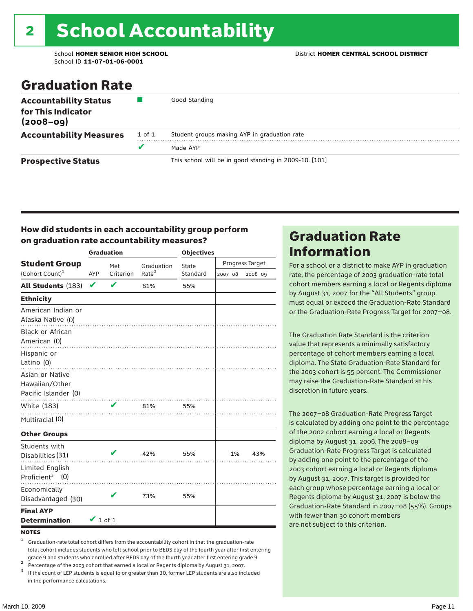School ID **11-07-01-06-0001**

### Graduation Rate

| <b>Accountability Status</b><br>for This Indicator<br>$(2008 - 09)$ |        | Good Standing                                          |
|---------------------------------------------------------------------|--------|--------------------------------------------------------|
| <b>Accountability Measures</b>                                      | 1 of 1 | Student groups making AYP in graduation rate           |
|                                                                     | v      | Made AYP                                               |
| <b>Prospective Status</b>                                           |        | This school will be in good standing in 2009-10. [101] |

#### How did students in each accountability group perform on graduation rate accountability measures?

|                                                           |               | <b>Graduation</b> |                   | <b>Objectives</b> |                 |         |  |  |
|-----------------------------------------------------------|---------------|-------------------|-------------------|-------------------|-----------------|---------|--|--|
| <b>Student Group</b>                                      |               | Met               | Graduation        | State             | Progress Target |         |  |  |
| (Cohort Count) <sup>1</sup>                               | <b>AYP</b>    | Criterion         | Rate <sup>2</sup> | Standard          | $2007 - 08$     | 2008-09 |  |  |
| <b>All Students (183)</b>                                 | $\checkmark$  | $\mathbf v$       | 81%               | 55%               |                 |         |  |  |
| <b>Ethnicity</b>                                          |               |                   |                   |                   |                 |         |  |  |
| American Indian or<br>Alaska Native (0)                   |               |                   |                   |                   |                 |         |  |  |
| Black or African<br>American (0)                          |               |                   |                   |                   |                 |         |  |  |
| Hispanic or<br>Latino (0)                                 |               |                   |                   |                   |                 |         |  |  |
| Asian or Native<br>Hawaiian/Other<br>Pacific Islander (0) |               |                   |                   |                   |                 |         |  |  |
| White (183)                                               |               | V                 | 81%               | 55%               |                 |         |  |  |
| Multiracial (0)                                           |               |                   | .                 |                   |                 |         |  |  |
| <b>Other Groups</b>                                       |               |                   |                   |                   |                 |         |  |  |
| Students with<br>Disabilities (31)                        |               |                   | 42%               | 55%               | 1%              | 43%     |  |  |
| Limited English<br>Proficient <sup>3</sup> $(0)$          |               |                   |                   |                   |                 |         |  |  |
| Economically<br>Disadvantaged (30)                        |               |                   | 73%               | 55%               |                 |         |  |  |
| <b>Final AYP</b><br><b>Determination</b>                  | $\vee$ 1 of 1 |                   |                   |                   |                 |         |  |  |

#### **NOTES**

<sup>1</sup> Graduation-rate total cohort differs from the accountability cohort in that the graduation-rate total cohort includes students who left school prior to BEDS day of the fourth year after first entering

grade 9 and students who enrolled after BEDS day of the fourth year after first entering grade 9.<br>
<sup>2</sup> Percentage of the 2003 cohort that earned a local or Regents diploma by August 31, 2007.<br>
<sup>3</sup> If the count of LEP stud in the performance calculations.

### Graduation Rate Information

For a school or a district to make AYP in graduation rate, the percentage of 2003 graduation-rate total cohort members earning a local or Regents diploma by August 31, 2007 for the "All Students" group must equal or exceed the Graduation-Rate Standard or the Graduation-Rate Progress Target for 2007–08.

The Graduation Rate Standard is the criterion value that represents a minimally satisfactory percentage of cohort members earning a local diploma. The State Graduation-Rate Standard for the 2003 cohort is 55 percent. The Commissioner may raise the Graduation-Rate Standard at his discretion in future years.

The 2007–08 Graduation-Rate Progress Target is calculated by adding one point to the percentage of the 2002 cohort earning a local or Regents diploma by August 31, 2006. The 2008–09 Graduation-Rate Progress Target is calculated by adding one point to the percentage of the 2003 cohort earning a local or Regents diploma by August 31, 2007. This target is provided for each group whose percentage earning a local or Regents diploma by August 31, 2007 is below the Graduation-Rate Standard in 2007–08 (55%). Groups with fewer than 30 cohort members are not subject to this criterion.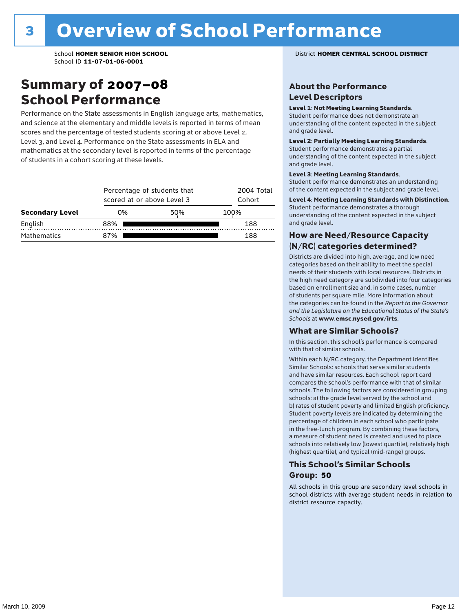### Summary of 2007–08 School Performance

Performance on the State assessments in English language arts, mathematics, and science at the elementary and middle levels is reported in terms of mean scores and the percentage of tested students scoring at or above Level 2, Level 3, and Level 4. Performance on the State assessments in ELA and mathematics at the secondary level is reported in terms of the percentage of students in a cohort scoring at these levels.

|                        |     | Percentage of students that<br>scored at or above Level 3 |      |  |  |  |
|------------------------|-----|-----------------------------------------------------------|------|--|--|--|
| <b>Secondary Level</b> | 0%  | 50%                                                       | 100% |  |  |  |
| English                | 88% |                                                           | 188  |  |  |  |
| <b>Mathematics</b>     | 87% |                                                           | 188  |  |  |  |

School **HOMER SENIOR HIGH SCHOOL** District **HOMER CENTRAL SCHOOL DISTRICT**

#### About the Performance Level Descriptors

#### Level 1: Not Meeting Learning Standards.

Student performance does not demonstrate an understanding of the content expected in the subject and grade level.

#### Level 2: Partially Meeting Learning Standards.

Student performance demonstrates a partial understanding of the content expected in the subject and grade level.

#### Level 3: Meeting Learning Standards.

Student performance demonstrates an understanding of the content expected in the subject and grade level.

#### Level 4: Meeting Learning Standards with Distinction.

Student performance demonstrates a thorough understanding of the content expected in the subject and grade level.

#### How are Need/Resource Capacity (N/RC) categories determined?

Districts are divided into high, average, and low need categories based on their ability to meet the special needs of their students with local resources. Districts in the high need category are subdivided into four categories based on enrollment size and, in some cases, number of students per square mile. More information about the categories can be found in the *Report to the Governor and the Legislature on the Educational Status of the State's Schools* at www.emsc.nysed.gov/irts.

#### What are Similar Schools?

In this section, this school's performance is compared with that of similar schools.

Within each N/RC category, the Department identifies Similar Schools: schools that serve similar students and have similar resources. Each school report card compares the school's performance with that of similar schools. The following factors are considered in grouping schools: a) the grade level served by the school and b) rates of student poverty and limited English proficiency. Student poverty levels are indicated by determining the percentage of children in each school who participate in the free-lunch program. By combining these factors, a measure of student need is created and used to place schools into relatively low (lowest quartile), relatively high (highest quartile), and typical (mid-range) groups.

#### This School's Similar Schools Group: **50**

All schools in this group are secondary level schools in school districts with average student needs in relation to district resource capacity.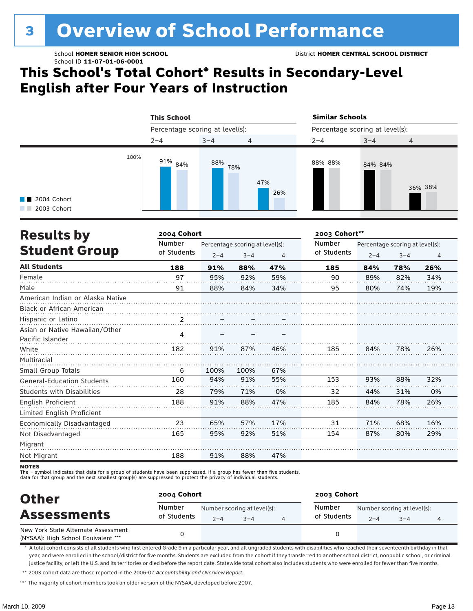# **3 Overview of School Performance**

### **This School's Total Cohort\* Results in Secondary-Level English after Four Years of Instruction**



| <b>Results by</b>                                  | 2004 Cohort           |         |                                            |     | 2003 Cohort**         |         |                                            |                |  |
|----------------------------------------------------|-----------------------|---------|--------------------------------------------|-----|-----------------------|---------|--------------------------------------------|----------------|--|
| <b>Student Group</b>                               | Number<br>of Students | $2 - 4$ | Percentage scoring at level(s):<br>$3 - 4$ | 4   | Number<br>of Students | $2 - 4$ | Percentage scoring at level(s):<br>$3 - 4$ | $\overline{a}$ |  |
| <b>All Students</b>                                | 188                   | 91%     | 88%                                        | 47% | 185                   | 84%     | 78%                                        | 26%            |  |
| Female                                             | 97                    | 95%     | 92%                                        | 59% | 90                    | 89%     | 82%                                        | 34%            |  |
| Male                                               | 91                    | 88%     | 84%                                        | 34% | 95                    | 80%     | 74%                                        | 19%            |  |
| American Indian or Alaska Native                   |                       |         |                                            |     |                       |         |                                            |                |  |
| <b>Black or African American</b>                   |                       |         |                                            |     |                       |         |                                            |                |  |
| Hispanic or Latino                                 | $\frac{2}{\cdot}$     |         |                                            |     |                       |         |                                            |                |  |
| Asian or Native Hawaiian/Other<br>Pacific Islander | 4                     |         |                                            |     |                       |         |                                            |                |  |
| White                                              | 182                   | 91%     | 87%                                        | 46% | 185                   | 84%     | 78%                                        | 26%            |  |
| Multiracial                                        |                       |         |                                            |     |                       |         |                                            |                |  |
| Small Group Totals                                 | 6                     | 100%    | 100%                                       | 67% |                       |         |                                            |                |  |
| General-Education Students                         | 160                   | 94%     | 91%                                        | 55% | 153                   | 93%     | 88%                                        | 32%            |  |
| <b>Students with Disabilities</b>                  | 28                    | 79%     | 71%                                        | 0%  | 32                    | 44%     | 31%                                        | 0%             |  |
| English Proficient                                 | 188                   | 91%     | 88%                                        | 47% | 185                   | 84%     | 78%                                        | 26%            |  |
| Limited English Proficient                         |                       |         |                                            |     |                       |         |                                            |                |  |
| Economically Disadvantaged                         | 23                    | 65%     | 57%                                        | 17% | 31                    | 71%     | 68%                                        | 16%            |  |
| Not Disadvantaged                                  | 165                   | 95%     | 92%                                        | 51% | 154                   | 87%     | 80%                                        | 29%            |  |
| Migrant                                            |                       |         |                                            |     |                       |         |                                            |                |  |
| Not Migrant                                        | 188                   | 91%     | 88%                                        | 47% |                       |         |                                            |                |  |

**NOTES** 

- symbol indicates that data for a group of students have been suppressed. If a group has fewer than five students,

data for that group and the next smallest group(s) are suppressed to protect the privacy of individual students.

| <b>Other</b>                                                               | 2004 Cohort           |         |                                        | 2003 Cohort           |         |                                        |   |  |
|----------------------------------------------------------------------------|-----------------------|---------|----------------------------------------|-----------------------|---------|----------------------------------------|---|--|
| <b>Assessments</b>                                                         | Number<br>of Students | $2 - 4$ | Number scoring at level(s):<br>$3 - 4$ | Number<br>of Students | $2 - 4$ | Number scoring at level(s):<br>$3 - 4$ | 4 |  |
| New York State Alternate Assessment<br>(NYSAA): High School Equivalent *** |                       |         |                                        |                       |         |                                        |   |  |

\* A total cohort consists of all students who first entered Grade 9 in a particular year, and all ungraded students with disabilities who reached their seventeenth birthday in that year, and were enrolled in the school/district for five months. Students are excluded from the cohort if they transferred to another school district, nonpublic school, or criminal justice facility, or left the U.S. and its territories or died before the report date. Statewide total cohort also includes students who were enrolled for fewer than five months.

\*\* 2003 cohort data are those reported in the 2006-07 *Accountability and Overview Report*.

\*\*\* The majority of cohort members took an older version of the NYSAA, developed before 2007.